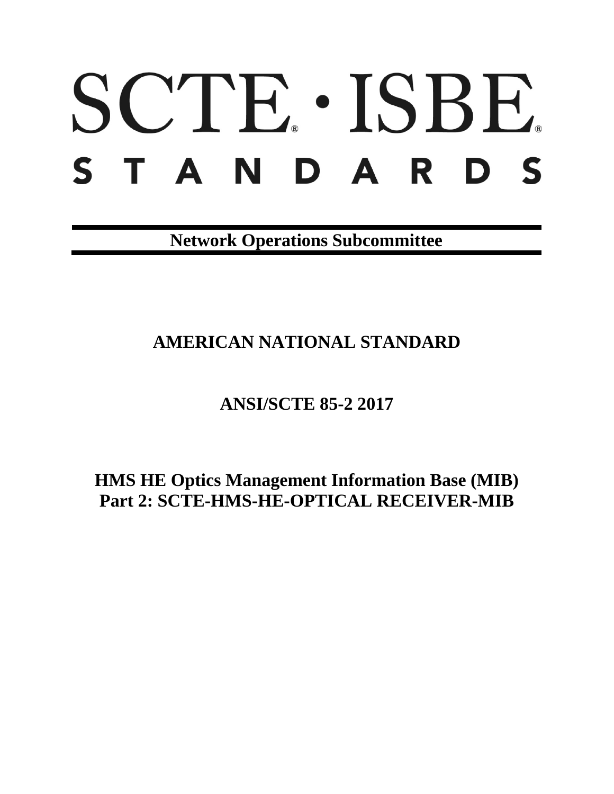# SCTE. ISBE. S T A N D A R D S

**Network Operations Subcommittee**

# **AMERICAN NATIONAL STANDARD**

# **ANSI/SCTE 85-2 2017**

**HMS HE Optics Management Information Base (MIB) Part 2: SCTE-HMS-HE-OPTICAL RECEIVER-MIB**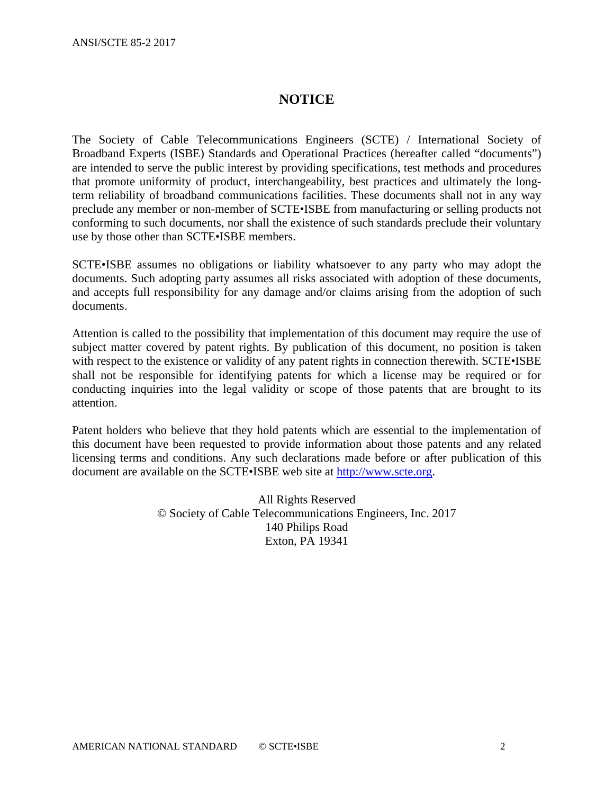# **NOTICE**

The Society of Cable Telecommunications Engineers (SCTE) / International Society of Broadband Experts (ISBE) Standards and Operational Practices (hereafter called "documents") are intended to serve the public interest by providing specifications, test methods and procedures that promote uniformity of product, interchangeability, best practices and ultimately the longterm reliability of broadband communications facilities. These documents shall not in any way preclude any member or non-member of SCTE•ISBE from manufacturing or selling products not conforming to such documents, nor shall the existence of such standards preclude their voluntary use by those other than SCTE•ISBE members.

SCTE•ISBE assumes no obligations or liability whatsoever to any party who may adopt the documents. Such adopting party assumes all risks associated with adoption of these documents, and accepts full responsibility for any damage and/or claims arising from the adoption of such documents.

Attention is called to the possibility that implementation of this document may require the use of subject matter covered by patent rights. By publication of this document, no position is taken with respect to the existence or validity of any patent rights in connection therewith. SCTE•ISBE shall not be responsible for identifying patents for which a license may be required or for conducting inquiries into the legal validity or scope of those patents that are brought to its attention.

Patent holders who believe that they hold patents which are essential to the implementation of this document have been requested to provide information about those patents and any related licensing terms and conditions. Any such declarations made before or after publication of this document are available on the SCTE•ISBE web site at [http://www.scte.org.](http://www.scte.org/)

> All Rights Reserved © Society of Cable Telecommunications Engineers, Inc. 2017 140 Philips Road Exton, PA 19341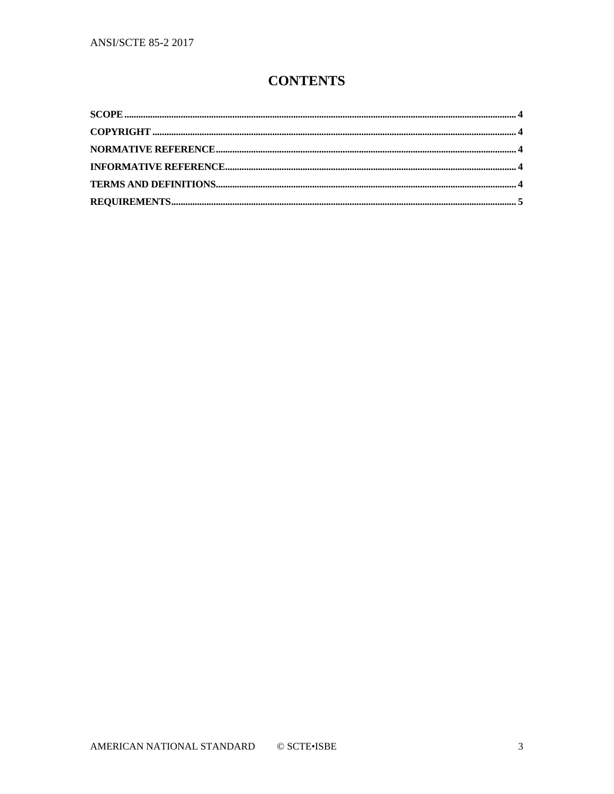# **CONTENTS**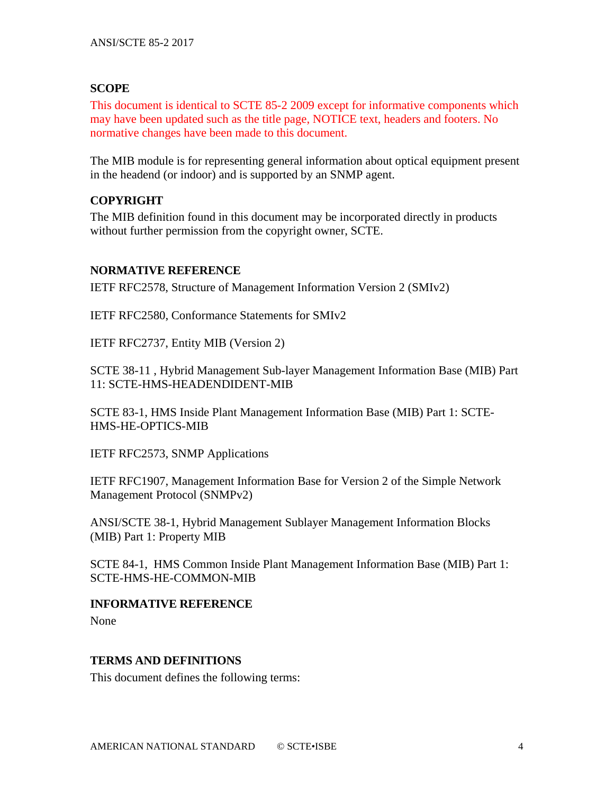## <span id="page-3-0"></span>**SCOPE**

This document is identical to SCTE 85-2 2009 except for informative components which may have been updated such as the title page, NOTICE text, headers and footers. No normative changes have been made to this document.

The MIB module is for representing general information about optical equipment present in the headend (or indoor) and is supported by an SNMP agent.

## <span id="page-3-1"></span>**COPYRIGHT**

The MIB definition found in this document may be incorporated directly in products without further permission from the copyright owner, SCTE.

## <span id="page-3-2"></span>**NORMATIVE REFERENCE**

IETF RFC2578, Structure of Management Information Version 2 (SMIv2)

IETF RFC2580, Conformance Statements for SMIv2

IETF RFC2737, Entity MIB (Version 2)

SCTE 38-11 , Hybrid Management Sub-layer Management Information Base (MIB) Part 11: SCTE-HMS-HEADENDIDENT-MIB

SCTE 83-1, HMS Inside Plant Management Information Base (MIB) Part 1: SCTE-HMS-HE-OPTICS-MIB

IETF RFC2573, SNMP Applications

IETF RFC1907, Management Information Base for Version 2 of the Simple Network Management Protocol (SNMPv2)

ANSI/SCTE 38-1, Hybrid Management Sublayer Management Information Blocks (MIB) Part 1: Property MIB

SCTE 84-1, HMS Common Inside Plant Management Information Base (MIB) Part 1: SCTE-HMS-HE-COMMON-MIB

## <span id="page-3-3"></span>**INFORMATIVE REFERENCE**

None

## <span id="page-3-4"></span>**TERMS AND DEFINITIONS**

This document defines the following terms: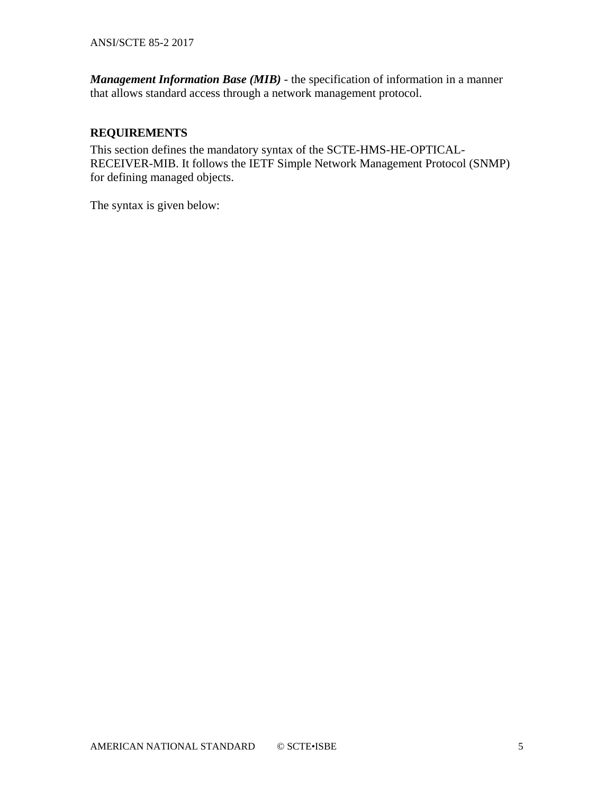*Management Information Base (MIB)* - the specification of information in a manner that allows standard access through a network management protocol.

# <span id="page-4-0"></span>**REQUIREMENTS**

This section defines the mandatory syntax of the SCTE-HMS-HE-OPTICAL-RECEIVER-MIB. It follows the IETF Simple Network Management Protocol (SNMP) for defining managed objects.

The syntax is given below: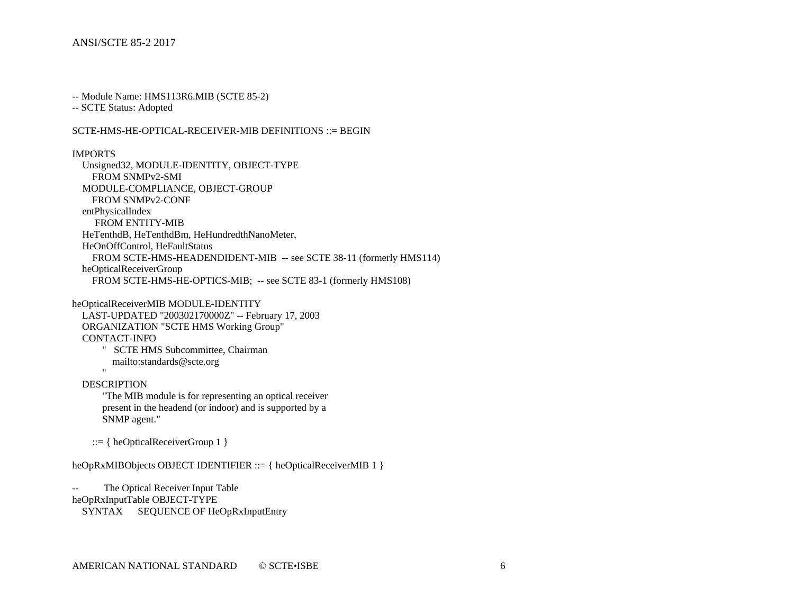-- Module Name: HMS113R6.MIB (SCTE 85-2)

-- SCTE Status: Adopted

#### SCTE-HMS-HE-OPTICAL-RECEIVER-MIB DEFINITIONS ::= BEGIN

#### IMPORTS

 Unsigned32, MODULE-IDENTITY, OBJECT-TYPE FROM SNMPv2-SMI MODULE-COMPLIANCE, OBJECT-GROUP FROM SNMPv2-CONF entPhysicalIndex FROM ENTITY-MIB HeTenthdB, HeTenthdBm, HeHundredthNanoMeter, HeOnOffControl, HeFaultStatus FROM SCTE-HMS-HEADENDIDENT-MIB -- see SCTE 38-11 (formerly HMS114) heOpticalReceiverGroup FROM SCTE-HMS-HE-OPTICS-MIB; -- see SCTE 83-1 (formerly HMS108)

#### heOpticalReceiverMIB MODULE-IDENTITY

 LAST-UPDATED "200302170000Z" -- February 17, 2003 ORGANIZATION "SCTE HMS Working Group" CONTACT-INFO " SCTE HMS Subcommittee, Chairman mailto:standards@scte.org

"" "" ""

#### DESCRIPTION

 "The MIB module is for representing an optical receiver present in the headend (or indoor) and is supported by a SNMP agent."

::= { heOpticalReceiverGroup 1 }

heOpRxMIBObjects OBJECT IDENTIFIER ::= { heOpticalReceiverMIB 1 }

The Optical Receiver Input Table heOpRxInputTable OBJECT-TYPE SYNTAX SEQUENCE OF HeOpRxInputEntry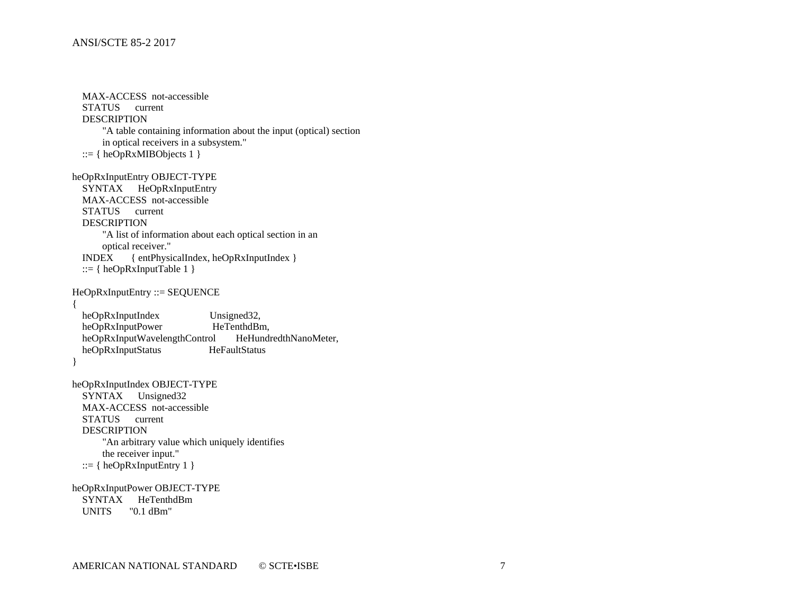MAX-ACCESS not-accessible STATUS current DESCRIPTION "A table containing information about the input (optical) section in optical receivers in a subsystem." ::=  $\{ heOpRxMIBObjects 1 \}$ heOpRxInputEntry OBJECT-TYPE SYNTAX HeOpRxInputEntry MAX-ACCESS not-accessible STATUS current DESCRIPTION "A list of information about each optical section in an optical receiver." INDEX { entPhysicalIndex, heOpRxInputIndex } ::= { heOpRxInputTable  $1$  } HeOpRxInputEntry ::= SEQUENCE { heOpRxInputIndex Unsigned32, heOpRxInputPower HeTenthdBm, heOpRxInputWavelengthControl HeHundredthNanoMeter, heOpRxInputStatus HeFaultStatus } heOpRxInputIndex OBJECT-TYPE SYNTAX Unsigned32 MAX-ACCESS not-accessible STATUS current DESCRIPTION "An arbitrary value which uniquely identifies the receiver input." ::=  $\{heOpRxInputEntry 1\}$ heOpRxInputPower OBJECT-TYPE SYNTAX HeTenthdBm UNITS "0.1 dBm"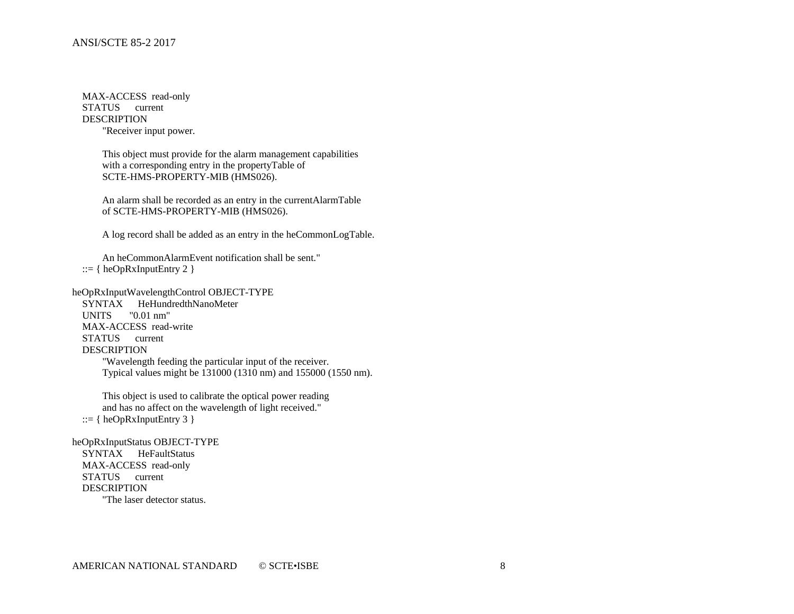#### ANSI/SCTE 85-2 2017

 MAX-ACCESS read-only STATUS current DESCRIPTION "Receiver input power.

> This object must provide for the alarm management capabilities with a corresponding entry in the propertyTable of SCTE-HMS-PROPERTY-MIB (HMS026).

 An alarm shall be recorded as an entry in the currentAlarmTable of SCTE-HMS-PROPERTY-MIB (HMS026).

A log record shall be added as an entry in the heCommonLogTable.

 An heCommonAlarmEvent notification shall be sent." ::=  $\{heOpRxInputEntry\ 2\}$ 

heOpRxInputWavelengthControl OBJECT-TYPE SYNTAX HeHundredthNanoMeter UNITS "0.01 nm" MAX-ACCESS read-write STATUS current DESCRIPTION "Wavelength feeding the particular input of the receiver. Typical values might be 131000 (1310 nm) and 155000 (1550 nm).

 This object is used to calibrate the optical power reading and has no affect on the wavelength of light received." ::=  $\{heOpRxInputEntry\ 3\}$ 

heOpRxInputStatus OBJECT-TYPE SYNTAX HeFaultStatus MAX-ACCESS read-only STATUS current DESCRIPTION "The laser detector status.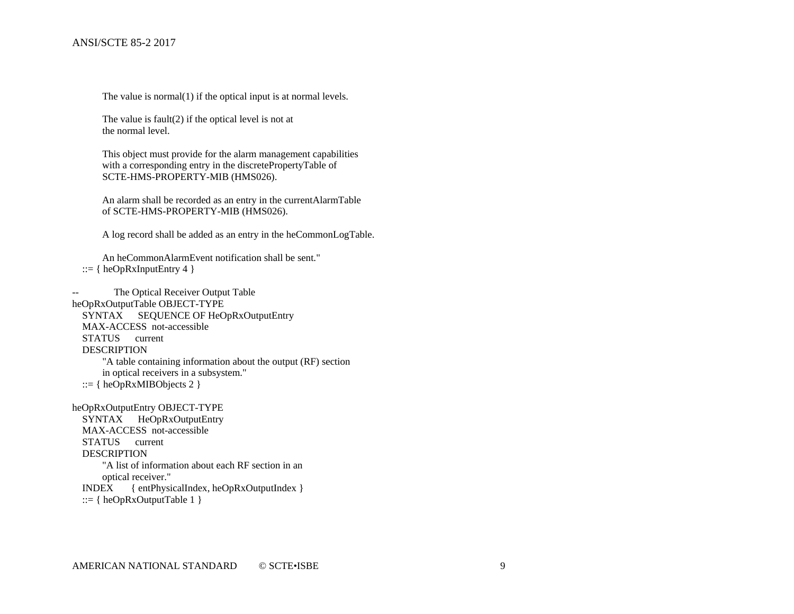#### ANSI/SCTE 85-2 2017

The value is normal(1) if the optical input is at normal levels.

 The value is fault(2) if the optical level is not at the normal level.

 This object must provide for the alarm management capabilities with a corresponding entry in the discretePropertyTable of SCTE-HMS-PROPERTY-MIB (HMS026).

 An alarm shall be recorded as an entry in the currentAlarmTable of SCTE-HMS-PROPERTY-MIB (HMS026).

A log record shall be added as an entry in the heCommonLogTable.

 An heCommonAlarmEvent notification shall be sent." ::=  $\{heOpRxInputEntry 4\}$ 

The Optical Receiver Output Table heOpRxOutputTable OBJECT-TYPE SYNTAX SEQUENCE OF HeOpRxOutputEntry MAX-ACCESS not-accessible STATUS current DESCRIPTION "A table containing information about the output (RF) section in optical receivers in a subsystem." ::=  $\{heOpRxMIBObjects 2\}$ 

heOpRxOutputEntry OBJECT-TYPE SYNTAX HeOpRxOutputEntry MAX-ACCESS not-accessible STATUS current DESCRIPTION "A list of information about each RF section in an optical receiver." INDEX { entPhysicalIndex, heOpRxOutputIndex } ::=  $\{heOpRxOutputTable 1\}$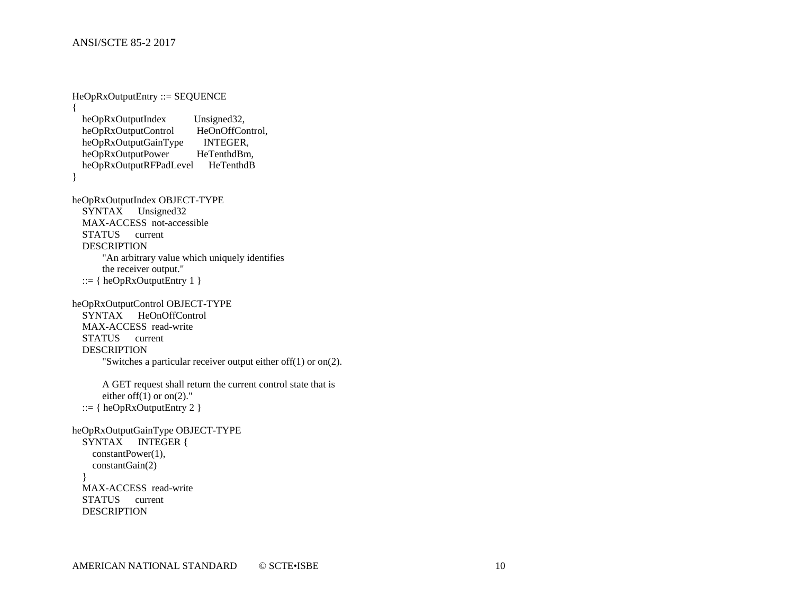HeOpRxOutputEntry ::= SEQUENCE { heOpRxOutputIndex Unsigned32,<br>heOpRxOutputControl HeOnOffControl, heOpRxOutputControl heOpRxOutputGainType INTEGER, heOpRxOutputPower HeTenthdBm, heOpRxOutputRFPadLevel HeTenthdB } heOpRxOutputIndex OBJECT-TYPE SYNTAX Unsigned32 MAX-ACCESS not-accessible STATUS current DESCRIPTION "An arbitrary value which uniquely identifies the receiver output." ::=  $\{heOpRxOutputEntry 1\}$ heOpRxOutputControl OBJECT-TYPE SYNTAX HeOnOffControl MAX-ACCESS read-write STATUS current DESCRIPTION "Switches a particular receiver output either off(1) or on(2). A GET request shall return the current control state that is either off $(1)$  or on $(2)$ ." ::=  $\{heOpRxOutputEntry 2\}$ heOpRxOutputGainType OBJECT-TYPE SYNTAX INTEGER { constantPower(1), constantGain(2) } MAX-ACCESS read-write STATUS current DESCRIPTION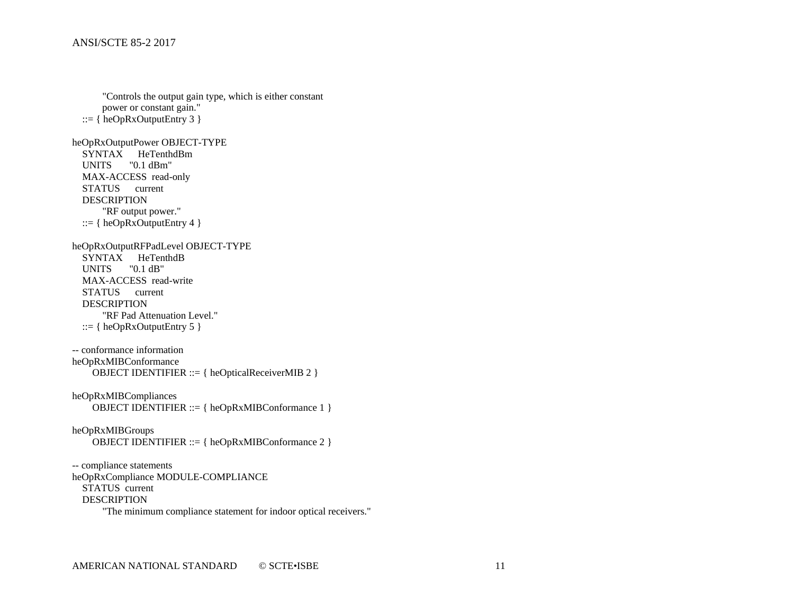```
 "Controls the output gain type, which is either constant
       power or constant gain."
  ::= \{heOpRxOutputEntry 3\}heOpRxOutputPower OBJECT-TYPE
   SYNTAX HeTenthdBm
   UNITS "0.1 dBm"
   MAX-ACCESS read-only
   STATUS current
   DESCRIPTION
       "RF output power."
  ::= \{heOpRxOutputEntry 4\}heOpRxOutputRFPadLevel OBJECT-TYPE
   SYNTAX HeTenthdB
   UNITS "0.1 dB"
   MAX-ACCESS read-write
   STATUS current
   DESCRIPTION
       "RF Pad Attenuation Level."
  ::= { heOpRxOutputEntry 5 }
-- conformance information
heOpRxMIBConformance 
     OBJECT IDENTIFIER ::= { heOpticalReceiverMIB 2 }
heOpRxMIBCompliances
     OBJECT IDENTIFIER ::= { heOpRxMIBConformance 1 }
heOpRxMIBGroups 
     OBJECT IDENTIFIER ::= { heOpRxMIBConformance 2 }
-- compliance statements
heOpRxCompliance MODULE-COMPLIANCE
   STATUS current
   DESCRIPTION
       "The minimum compliance statement for indoor optical receivers."
```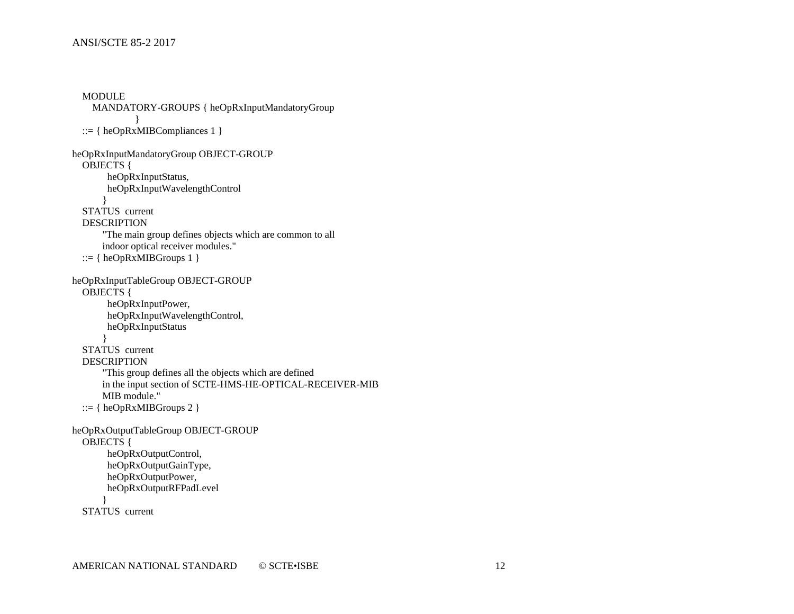```
 MODULE 
     MANDATORY-GROUPS { heOpRxInputMandatoryGroup
 }
  ::= \{heOpRxMIBCompliances 1\}heOpRxInputMandatoryGroup OBJECT-GROUP
   OBJECTS {
        heOpRxInputStatus,
        heOpRxInputWavelengthControl
       }
   STATUS current
   DESCRIPTION
       "The main group defines objects which are common to all
       indoor optical receiver modules."
  ::= \{ heOpRxMIBGroups 1 \}heOpRxInputTableGroup OBJECT-GROUP
   OBJECTS {
        heOpRxInputPower,
        heOpRxInputWavelengthControl,
        heOpRxInputStatus
 }
   STATUS current
   DESCRIPTION
       "This group defines all the objects which are defined
       in the input section of SCTE-HMS-HE-OPTICAL-RECEIVER-MIB
       MIB module."
  ::= \{heOpRxMIBGroups 2\}heOpRxOutputTableGroup OBJECT-GROUP
   OBJECTS {
        heOpRxOutputControl,
        heOpRxOutputGainType,
        heOpRxOutputPower,
        heOpRxOutputRFPadLevel
 }
   STATUS current
```